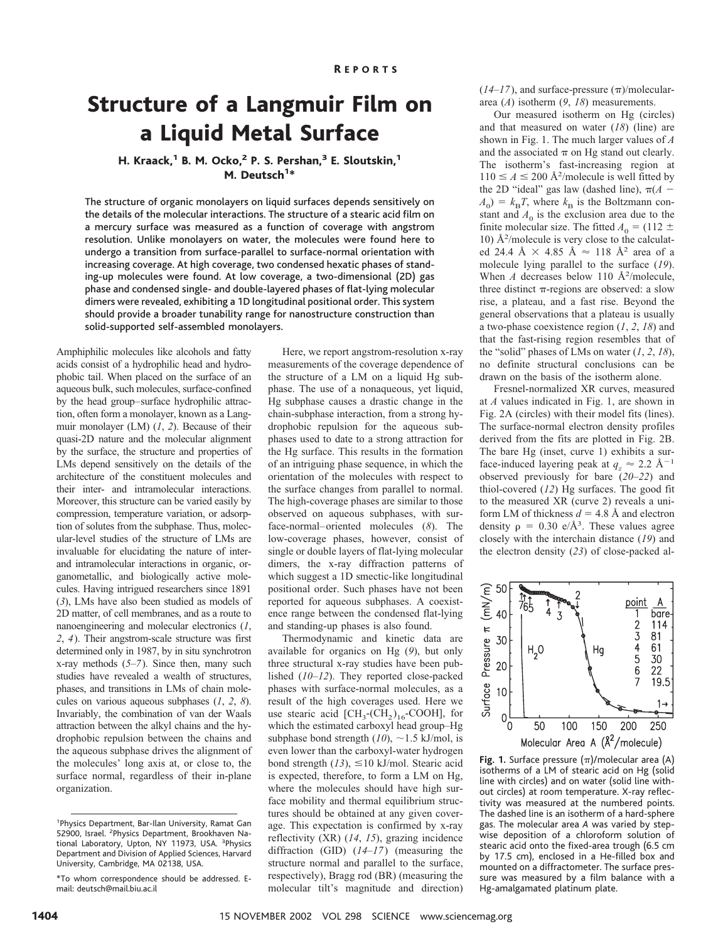## Structure of a Langmuir Film on a Liquid Metal Surface

### H. Kraack,<sup>1</sup> B. M. Ocko,<sup>2</sup> P. S. Pershan,<sup>3</sup> E. Sloutskin,<sup>1</sup> M. Deutsch<sup>1\*</sup>

The structure of organic monolayers on liquid surfaces depends sensitively on the details of the molecular interactions. The structure of a stearic acid film on a mercury surface was measured as a function of coverage with angstrom resolution. Unlike monolayers on water, the molecules were found here to undergo a transition from surface-parallel to surface-normal orientation with increasing coverage. At high coverage, two condensed hexatic phases of standing-up molecules were found. At low coverage, a two-dimensional (2D) gas phase and condensed single- and double-layered phases of flat-lying molecular dimers were revealed, exhibiting a 1D longitudinal positional order. This system should provide a broader tunability range for nanostructure construction than solid-supported self-assembled monolayers.

Amphiphilic molecules like alcohols and fatty acids consist of a hydrophilic head and hydrophobic tail. When placed on the surface of an aqueous bulk, such molecules, surface-confined by the head group–surface hydrophilic attraction, often form a monolayer, known as a Langmuir monolayer (LM) (*1*, *2*). Because of their quasi-2D nature and the molecular alignment by the surface, the structure and properties of LMs depend sensitively on the details of the architecture of the constituent molecules and their inter- and intramolecular interactions. Moreover, this structure can be varied easily by compression, temperature variation, or adsorption of solutes from the subphase. Thus, molecular-level studies of the structure of LMs are invaluable for elucidating the nature of interand intramolecular interactions in organic, organometallic, and biologically active molecules. Having intrigued researchers since 1891 (*3*), LMs have also been studied as models of 2D matter, of cell membranes, and as a route to nanoengineering and molecular electronics (*1*, *2*, *4*). Their angstrom-scale structure was first determined only in 1987, by in situ synchrotron x-ray methods (*5*–*7*). Since then, many such studies have revealed a wealth of structures, phases, and transitions in LMs of chain molecules on various aqueous subphases (*1*, *2*, *8*). Invariably, the combination of van der Waals attraction between the alkyl chains and the hydrophobic repulsion between the chains and the aqueous subphase drives the alignment of the molecules' long axis at, or close to, the surface normal, regardless of their in-plane organization.

Here, we report angstrom-resolution x-ray measurements of the coverage dependence of the structure of a LM on a liquid Hg subphase. The use of a nonaqueous, yet liquid, Hg subphase causes a drastic change in the chain-subphase interaction, from a strong hydrophobic repulsion for the aqueous subphases used to date to a strong attraction for the Hg surface. This results in the formation of an intriguing phase sequence, in which the orientation of the molecules with respect to the surface changes from parallel to normal. The high-coverage phases are similar to those observed on aqueous subphases, with surface-normal–oriented molecules (*8*). The low-coverage phases, however, consist of single or double layers of flat-lying molecular dimers, the x-ray diffraction patterns of which suggest a 1D smectic-like longitudinal positional order. Such phases have not been reported for aqueous subphases. A coexistence range between the condensed flat-lying and standing-up phases is also found.

Thermodynamic and kinetic data are available for organics on Hg (*9*), but only three structural x-ray studies have been published (*10*–*12*). They reported close-packed phases with surface-normal molecules, as a result of the high coverages used. Here we use stearic acid  $\text{[CH}_3\text{-}(CH_2)_{16}\text{-} \text{COOH}$ , for which the estimated carboxyl head group–Hg subphase bond strength  $(10)$ ,  $\sim$  1.5 kJ/mol, is even lower than the carboxyl-water hydrogen bond strength  $(13)$ ,  $\leq 10$  kJ/mol. Stearic acid is expected, therefore, to form a LM on Hg, where the molecules should have high surface mobility and thermal equilibrium structures should be obtained at any given coverage. This expectation is confirmed by x-ray reflectivity (XR) (*14*, *15*), grazing incidence diffraction (GID) (*14*–*17*) (measuring the structure normal and parallel to the surface, respectively), Bragg rod (BR) (measuring the molecular tilt's magnitude and direction)

 $(14–17)$ , and surface-pressure  $(\pi)$ /moleculararea (*A*) isotherm (*9*, *18*) measurements.

Our measured isotherm on Hg (circles) and that measured on water (*18*) (line) are shown in Fig. 1. The much larger values of *A* and the associated  $\pi$  on Hg stand out clearly. The isotherm's fast-increasing region at  $110 \le A \le 200$  Å<sup>2</sup>/molecule is well fitted by the 2D "ideal" gas law (dashed line),  $\pi(A A_0$ ) =  $k_B T$ , where  $k_B$  is the Boltzmann constant and  $A_0$  is the exclusion area due to the finite molecular size. The fitted  $A_0 = (112 \pm 1)$ 10) Å<sup>2</sup> /molecule is very close to the calculated 24.4 Å  $\times$  4.85 Å  $\approx$  118 Å<sup>2</sup> area of a molecule lying parallel to the surface (*19*). When  $A$  decreases below 110  $\AA^2$ /molecule, three distinct  $\pi$ -regions are observed: a slow rise, a plateau, and a fast rise. Beyond the general observations that a plateau is usually a two-phase coexistence region (*1*, *2*, *18*) and that the fast-rising region resembles that of the "solid" phases of LMs on water  $(1, 2, 18)$ , no definite structural conclusions can be drawn on the basis of the isotherm alone.

Fresnel-normalized XR curves, measured at *A* values indicated in Fig. 1, are shown in Fig. 2A (circles) with their model fits (lines). The surface-normal electron density profiles derived from the fits are plotted in Fig. 2B. The bare Hg (inset, curve 1) exhibits a surface-induced layering peak at  $q_z \approx 2.2 \text{ Å}^{-1}$ observed previously for bare (*20*–*22*) and thiol-covered (*12*) Hg surfaces. The good fit to the measured XR (curve 2) reveals a uniform LM of thickness  $d = 4.8$  Å and electron density  $\rho = 0.30$  e/Å<sup>3</sup>. These values agree closely with the interchain distance (*19*) and the electron density (*23*) of close-packed al-



**Fig. 1.** Surface pressure ( $\pi$ )/molecular area (A) isotherms of a LM of stearic acid on Hg (solid line with circles) and on water (solid line without circles) at room temperature. X-ray reflectivity was measured at the numbered points. The dashed line is an isotherm of a hard-sphere gas. The molecular area *A* was varied by stepwise deposition of a chloroform solution of stearic acid onto the fixed-area trough (6.5 cm by 17.5 cm), enclosed in a He-filled box and mounted on a diffractometer. The surface pressure was measured by a film balance with a Hg-amalgamated platinum plate.

<sup>&</sup>lt;sup>1</sup>Physics Department, Bar-Ilan University, Ramat Gan 52900, Israel. <sup>2</sup>Physics Department, Brookhaven National Laboratory, Upton, NY 11973, USA. <sup>3</sup>Physics Department and Division of Applied Sciences, Harvard University, Cambridge, MA 02138, USA.

<sup>\*</sup>To whom correspondence should be addressed. Email: deutsch@mail.biu.ac.il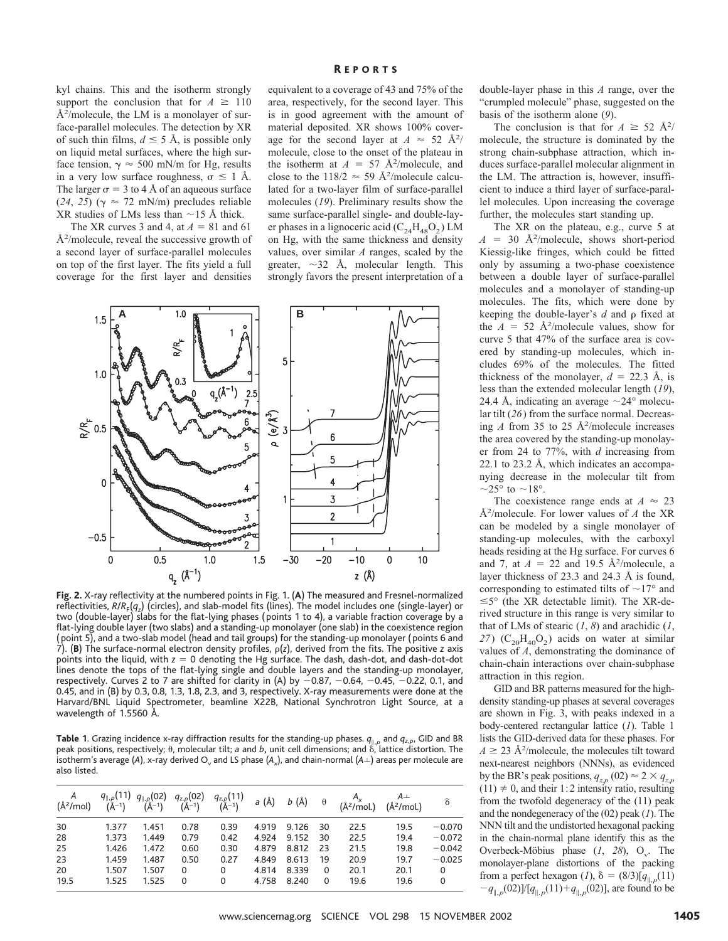kyl chains. This and the isotherm strongly support the conclusion that for  $A \geq 110$ Å<sup>2</sup>/molecule, the LM is a monolayer of surface-parallel molecules. The detection by XR of such thin films,  $d \leq 5$  Å, is possible only on liquid metal surfaces, where the high surface tension,  $\gamma \approx 500$  mN/m for Hg, results in a very low surface roughness,  $\sigma \leq 1$  Å. The larger  $\sigma = 3$  to 4 Å of an aqueous surface (24, 25) ( $\gamma \approx 72$  mN/m) precludes reliable XR studies of LMs less than  $\sim$ 15 Å thick.

The XR curves 3 and 4, at  $A = 81$  and 61 Å2 /molecule, reveal the successive growth of a second layer of surface-parallel molecules on top of the first layer. The fits yield a full coverage for the first layer and densities

equivalent to a coverage of 43 and 75% of the area, respectively, for the second layer. This is in good agreement with the amount of material deposited. XR shows 100% coverage for the second layer at  $A \approx 52 \text{ Å}^2$ / molecule, close to the onset of the plateau in the isotherm at  $A = 57 \text{ Å}^2/\text{molecule}$ , and close to the  $118/2 \approx 59 \text{ Å}^2/\text{molecule}$  calculated for a two-layer film of surface-parallel molecules (*19*). Preliminary results show the same surface-parallel single- and double-layer phases in a lignoceric acid  $(C_{24}H_{48}O_2)$  LM on Hg, with the same thickness and density values, over similar *A* ranges, scaled by the greater,  $\sim$ 32 Å, molecular length. This strongly favors the present interpretation of a



**Fig. 2.** X-ray reflectivity at the numbered points in Fig. 1. (**A**) The measured and Fresnel-normalized reflectivities, *R/R<sub>F</sub>(q<sub>z</sub>)* (circles), and slab-model fits (lines). The model includes one (single-layer) or two (double-layer) slabs for the flat-lying phases ( points 1 to 4), a variable fraction coverage by a flat-lying double layer (two slabs) and a standing-up monolayer (one slab) in the coexistence region ( point 5), and a two-slab model (head and tail groups) for the standing-up monolayer ( points 6 and 7). (**B**) The surface-normal electron density profiles, (*z*), derived from the fits. The positive *z* axis points into the liquid, with  $z = 0$  denoting the Hg surface. The dash, dash-dot, and dash-dot-dot lines denote the tops of the flat-lying single and double layers and the standing-up monolayer, respectively. Curves 2 to 7 are shifted for clarity in (A) by  $-0.87$ ,  $-0.64$ ,  $-0.45$ ,  $-0.22$ , 0.1, and 0.45, and in (B) by 0.3, 0.8, 1.3, 1.8, 2.3, and 3, respectively. X-ray measurements were done at the Harvard/BNL Liquid Spectrometer, beamline X22B, National Synchrotron Light Source, at a wavelength of 1.5560 Å.

**Table 1**. Grazing incidence x-ray diffraction results for the standing-up phases.  $q_{\parallel,p}$  and  $q_{z,p}$ , GID and BR peak positions, respectively;  $\theta$ , molecular tilt; *a* and *b*, unit cell dimensions; and  $\delta$ , lattice distortion. The isotherm's average (A), x-ray derived  $O_v$  and LS phase ( $A_x$ ), and chain-normal ( $A \perp$ ) areas per molecule are also listed.

| A<br>(Å <sup>2</sup> /mol) |       |       |          | $\begin{array}{ccccc} q_{  ,\rho}(11) & q_{  ,\rho}(02) & q_{z,\rho}(02) & q_{z,\rho}(11) & a (\text{\AA}) & b (\text{\AA}) & \theta \\ (\text{\AA}^{-1}) & (\text{\AA}^{-1}) & (\text{\AA}^{-1}) & (\text{\AA}^{-1}) & a (\text{\AA}) & b (\text{\AA}) & \theta \end{array}$ |       |       |          |      | $A_x$ $A^{\perp}$<br>(Å <sup>2</sup> /mol.) (Å <sup>2</sup> /mol.) | δ        |
|----------------------------|-------|-------|----------|-------------------------------------------------------------------------------------------------------------------------------------------------------------------------------------------------------------------------------------------------------------------------------|-------|-------|----------|------|--------------------------------------------------------------------|----------|
| 30                         | 1.377 | 1.451 | 0.78     | 0.39                                                                                                                                                                                                                                                                          | 4.919 | 9.126 | 30       | 22.5 | 19.5                                                               | $-0.070$ |
| 28                         | 1.373 | 1.449 | 0.79     | 0.42                                                                                                                                                                                                                                                                          | 4.924 | 9.152 | -30      | 22.5 | 19.4                                                               | $-0.072$ |
| 25                         | 1.426 | 1.472 | 0.60     | 0.30                                                                                                                                                                                                                                                                          | 4.879 | 8.812 | -23      | 21.5 | 19.8                                                               | $-0.042$ |
| 23                         | 1.459 | 1.487 | 0.50     | 0.27                                                                                                                                                                                                                                                                          | 4.849 | 8.613 | 19       | 20.9 | 19.7                                                               | $-0.025$ |
| 20                         | 1.507 | 1.507 | 0        | 0                                                                                                                                                                                                                                                                             | 4.814 | 8.339 | $\Omega$ | 20.1 | 20.1                                                               | $\Omega$ |
| 19.5                       | 1.525 | 1.525 | $\Omega$ | 0                                                                                                                                                                                                                                                                             | 4.758 | 8.240 | 0        | 19.6 | 19.6                                                               | 0        |

double-layer phase in this *A* range, over the "crumpled molecule" phase, suggested on the basis of the isotherm alone (*9*).

The conclusion is that for  $A \geq 52 \text{ Å}^2$ / molecule, the structure is dominated by the strong chain-subphase attraction, which induces surface-parallel molecular alignment in the LM. The attraction is, however, insufficient to induce a third layer of surface-parallel molecules. Upon increasing the coverage further, the molecules start standing up.

The XR on the plateau, e.g., curve 5 at  $A = 30 \text{ Å}^2/\text{molecule}$ , shows short-period Kiessig-like fringes, which could be fitted only by assuming a two-phase coexistence between a double layer of surface-parallel molecules and a monolayer of standing-up molecules. The fits, which were done by keeping the double-layer's  $d$  and  $\rho$  fixed at the  $A = 52 \text{ Å}^2/\text{molecule}$  values, show for curve 5 that 47% of the surface area is covered by standing-up molecules, which includes 69% of the molecules. The fitted thickness of the monolayer,  $d = 22.3$  Å, is less than the extended molecular length (*19*), 24.4 Å, indicating an average  $\sim$ 24° molecular tilt (*26*) from the surface normal. Decreasing  $A$  from 35 to 25  $\AA$ <sup>2</sup>/molecule increases the area covered by the standing-up monolayer from 24 to 77%, with *d* increasing from 22.1 to 23.2 Å, which indicates an accompanying decrease in the molecular tilt from  $\sim$ 25° to  $\sim$ 18°.

The coexistence range ends at  $A \approx 23$ Å2 /molecule. For lower values of *A* the XR can be modeled by a single monolayer of standing-up molecules, with the carboxyl heads residing at the Hg surface. For curves 6 and 7, at  $A = 22$  and 19.5 Å<sup>2</sup>/molecule, a layer thickness of 23.3 and 24.3 Å is found, corresponding to estimated tilts of  $\sim$ 17° and  $\leq$ 5° (the XR detectable limit). The XR-derived structure in this range is very similar to that of LMs of stearic  $(1, 8)$  and arachidic  $(1, 8)$  $27)$  (C<sub>20</sub>H<sub>40</sub>O<sub>2</sub>) acids on water at similar values of *A*, demonstrating the dominance of chain-chain interactions over chain-subphase attraction in this region.

GID and BR patterns measured for the highdensity standing-up phases at several coverages are shown in Fig. 3, with peaks indexed in a body-centered rectangular lattice (*1*). Table 1 lists the GID-derived data for these phases. For  $A \geq 23$  Å<sup>2</sup>/molecule, the molecules tilt toward next-nearest neighbors (NNNs), as evidenced by the BR's peak positions,  $q_{z,p}$  (02)  $\approx$  2  $\times$   $q_{z,p}$  $(11) \neq 0$ , and their 1:2 intensity ratio, resulting from the twofold degeneracy of the (11) peak and the nondegeneracy of the (02) peak (*1*). The NNN tilt and the undistorted hexagonal packing in the chain-normal plane identify this as the Overbeck-Möbius phase  $(1, 28)$ , O<sub>v</sub>. The monolayer-plane distortions of the packing from a perfect hexagon (*1*),  $\delta = (8/3)[q_{\parallel p}(11)]$  $-q_{\parallel p}(02)$   $\left[\frac{q_{\parallel p}(11)}{q_{\parallel p}(02)}\right]$ , are found to be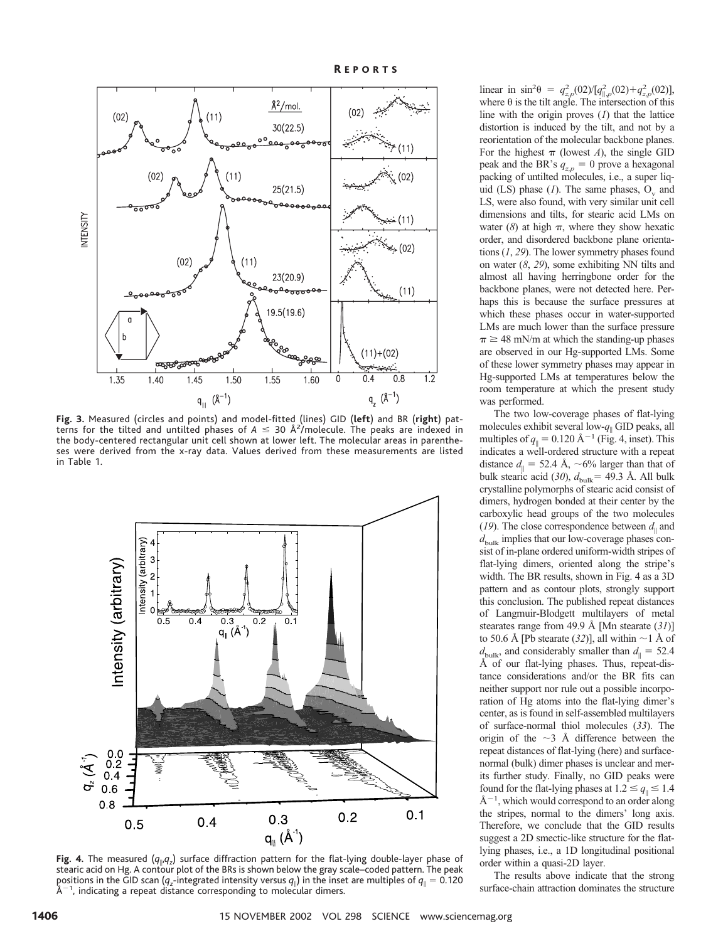

**Fig. 3.** Measured (circles and points) and model-fitted (lines) GID (**left**) and BR (**right**) patterns for the tilted and untilted phases of  $A \leq 30$  Å<sup>2</sup>/molecule. The peaks are indexed in the body-centered rectangular unit cell shown at lower left. The molecular areas in parentheses were derived from the x-ray data. Values derived from these measurements are listed in Table 1.



**Fig. 4.** The measured  $(q_{\parallel \vert q_z})$  surface diffraction pattern for the flat-lying double-layer phase of stearic acid on Hg. A contour plot of the BRs is shown below the gray scale–coded pattern. The peak positions in the GID scan ( $q_z$ -integrated intensity versus  $q_{\parallel}$ ) in the inset are multiples of  $q_{\parallel}=$  0.120  $\rm{\AA^{-1}}$ , indicating a repeat distance corresponding to molecular dimers.

linear in  $\sin^2\theta = q_{z,p}^2 (02) / [q_{\parallel,p}^2 (02) + q_{z,p}^2 (02)]$ , where  $\theta$  is the tilt angle. The intersection of this line with the origin proves (*1*) that the lattice distortion is induced by the tilt, and not by a reorientation of the molecular backbone planes. For the highest  $\pi$  (lowest *A*), the single GID peak and the BR's  $q_{z,p} = 0$  prove a hexagonal packing of untilted molecules, i.e., a super liquid (LS) phase  $(1)$ . The same phases,  $O_v$  and LS, were also found, with very similar unit cell dimensions and tilts, for stearic acid LMs on water  $(8)$  at high  $\pi$ , where they show hexatic order, and disordered backbone plane orientations (*1*, *29*). The lower symmetry phases found on water (*8*, *29*), some exhibiting NN tilts and almost all having herringbone order for the backbone planes, were not detected here. Perhaps this is because the surface pressures at which these phases occur in water-supported LMs are much lower than the surface pressure  $\pi \geq 48$  mN/m at which the standing-up phases are observed in our Hg-supported LMs. Some of these lower symmetry phases may appear in Hg-supported LMs at temperatures below the room temperature at which the present study was performed.

The two low-coverage phases of flat-lying molecules exhibit several low- $q_{\parallel}$  GID peaks, all multiples of  $q_{\parallel} = 0.120 \text{ Å}^{-1}$  (Fig. 4, inset). This indicates a well-ordered structure with a repeat distance  $d_{\parallel}$  = 52.4 Å, ~6% larger than that of bulk stearic acid (30),  $d_{\text{bulk}} = 49.3$  Å. All bulk crystalline polymorphs of stearic acid consist of dimers, hydrogen bonded at their center by the carboxylic head groups of the two molecules (19). The close correspondence between  $d_{\parallel}$  and  $d_{\text{bulk}}$  implies that our low-coverage phases consist of in-plane ordered uniform-width stripes of flat-lying dimers, oriented along the stripe's width. The BR results, shown in Fig. 4 as a 3D pattern and as contour plots, strongly support this conclusion. The published repeat distances of Langmuir-Blodgett multilayers of metal stearates range from 49.9 Å [Mn stearate (*31*)] to 50.6 Å [Pb stearate  $(32)$ ], all within  $\sim$  1 Å of  $d_{\text{bulk}}$ , and considerably smaller than  $d_{\parallel} = 52.4$ Å of our flat-lying phases. Thus, repeat-distance considerations and/or the BR fits can neither support nor rule out a possible incorporation of Hg atoms into the flat-lying dimer's center, as is found in self-assembled multilayers of surface-normal thiol molecules (*33*). The origin of the  $\sim$ 3 Å difference between the repeat distances of flat-lying (here) and surfacenormal (bulk) dimer phases is unclear and merits further study. Finally, no GID peaks were found for the flat-lying phases at  $1.2 \le q_{\parallel} \le 1.4$  $A^{-1}$ , which would correspond to an order along the stripes, normal to the dimers' long axis. Therefore, we conclude that the GID results suggest a 2D smectic-like structure for the flatlying phases, i.e., a 1D longitudinal positional order within a quasi-2D layer.

The results above indicate that the strong surface-chain attraction dominates the structure